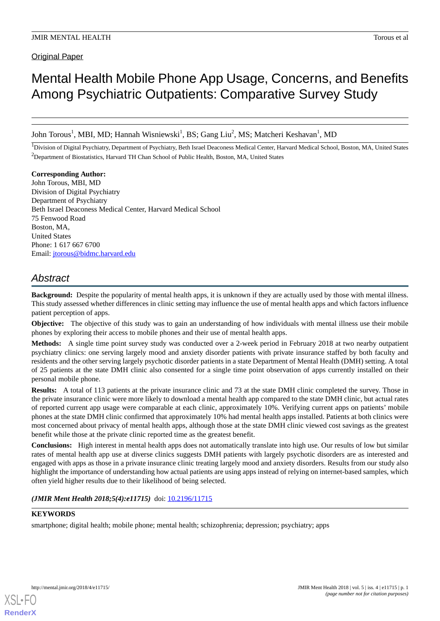Original Paper

# Mental Health Mobile Phone App Usage, Concerns, and Benefits Among Psychiatric Outpatients: Comparative Survey Study

John Torous<sup>1</sup>, MBI, MD; Hannah Wisniewski<sup>1</sup>, BS; Gang Liu<sup>2</sup>, MS; Matcheri Keshavan<sup>1</sup>, MD

<sup>1</sup>Division of Digital Psychiatry, Department of Psychiatry, Beth Israel Deaconess Medical Center, Harvard Medical School, Boston, MA, United States <sup>2</sup>Department of Biostatistics, Harvard TH Chan School of Public Health, Boston, MA, United States

**Corresponding Author:** John Torous, MBI, MD Division of Digital Psychiatry Department of Psychiatry Beth Israel Deaconess Medical Center, Harvard Medical School 75 Fenwood Road Boston, MA, United States Phone: 1 617 667 6700 Email: [jtorous@bidmc.harvard.edu](mailto:jtorous@bidmc.harvard.edu)

# *Abstract*

**Background:** Despite the popularity of mental health apps, it is unknown if they are actually used by those with mental illness. This study assessed whether differences in clinic setting may influence the use of mental health apps and which factors influence patient perception of apps.

**Objective:** The objective of this study was to gain an understanding of how individuals with mental illness use their mobile phones by exploring their access to mobile phones and their use of mental health apps.

**Methods:** A single time point survey study was conducted over a 2-week period in February 2018 at two nearby outpatient psychiatry clinics: one serving largely mood and anxiety disorder patients with private insurance staffed by both faculty and residents and the other serving largely psychotic disorder patients in a state Department of Mental Health (DMH) setting. A total of 25 patients at the state DMH clinic also consented for a single time point observation of apps currently installed on their personal mobile phone.

**Results:** A total of 113 patients at the private insurance clinic and 73 at the state DMH clinic completed the survey. Those in the private insurance clinic were more likely to download a mental health app compared to the state DMH clinic, but actual rates of reported current app usage were comparable at each clinic, approximately 10%. Verifying current apps on patients' mobile phones at the state DMH clinic confirmed that approximately 10% had mental health apps installed. Patients at both clinics were most concerned about privacy of mental health apps, although those at the state DMH clinic viewed cost savings as the greatest benefit while those at the private clinic reported time as the greatest benefit.

**Conclusions:** High interest in mental health apps does not automatically translate into high use. Our results of low but similar rates of mental health app use at diverse clinics suggests DMH patients with largely psychotic disorders are as interested and engaged with apps as those in a private insurance clinic treating largely mood and anxiety disorders. Results from our study also highlight the importance of understanding how actual patients are using apps instead of relying on internet-based samples, which often yield higher results due to their likelihood of being selected.

(JMIR Ment Health 2018;5(4):e11715) doi: [10.2196/11715](http://dx.doi.org/10.2196/11715)

# **KEYWORDS**

[XSL](http://www.w3.org/Style/XSL)•FO **[RenderX](http://www.renderx.com/)**

smartphone; digital health; mobile phone; mental health; schizophrenia; depression; psychiatry; apps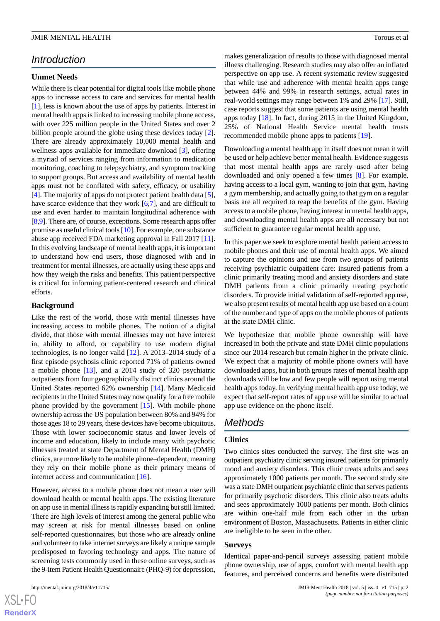# *Introduction*

# **Unmet Needs**

While there is clear potential for digital tools like mobile phone apps to increase access to care and services for mental health [[1\]](#page-9-0), less is known about the use of apps by patients. Interest in mental health apps is linked to increasing mobile phone access, with over 225 million people in the United States and over 2 billion people around the globe using these devices today [[2\]](#page-9-1). There are already approximately 10,000 mental health and wellness apps available for immediate download [[3\]](#page-9-2), offering a myriad of services ranging from information to medication monitoring, coaching to telepsychiatry, and symptom tracking to support groups. But access and availability of mental health apps must not be conflated with safety, efficacy, or usability [[4\]](#page-9-3). The majority of apps do not protect patient health data [[5\]](#page-9-4), have scarce evidence that they work [\[6](#page-9-5),[7\]](#page-9-6), and are difficult to use and even harder to maintain longitudinal adherence with [[8,](#page-9-7)[9](#page-9-8)]. There are, of course, exceptions. Some research apps offer promise as useful clinical tools [\[10\]](#page-9-9). For example, one substance abuse app received FDA marketing approval in Fall 2017 [[11\]](#page-9-10). In this evolving landscape of mental health apps, it is important to understand how end users, those diagnosed with and in treatment for mental illnesses, are actually using these apps and how they weigh the risks and benefits. This patient perspective is critical for informing patient-centered research and clinical efforts.

#### **Background**

Like the rest of the world, those with mental illnesses have increasing access to mobile phones. The notion of a digital divide, that those with mental illnesses may not have interest in, ability to afford, or capability to use modern digital technologies, is no longer valid [\[12](#page-9-11)]. A 2013–2014 study of a first episode psychosis clinic reported 71% of patients owned a mobile phone [\[13](#page-9-12)], and a 2014 study of 320 psychiatric outpatients from four geographically distinct clinics around the United States reported 62% ownership [[14\]](#page-9-13). Many Medicaid recipients in the United States may now qualify for a free mobile phone provided by the government [\[15](#page-9-14)]. With mobile phone ownership across the US population between 80% and 94% for those ages 18 to 29 years, these devices have become ubiquitous. Those with lower socioeconomic status and lower levels of income and education, likely to include many with psychotic illnesses treated at state Department of Mental Health (DMH) clinics, are more likely to be mobile phone–dependent, meaning they rely on their mobile phone as their primary means of internet access and communication [[16\]](#page-9-15).

However, access to a mobile phone does not mean a user will download health or mental health apps. The existing literature on app use in mental illness is rapidly expanding but still limited. There are high levels of interest among the general public who may screen at risk for mental illnesses based on online self-reported questionnaires, but those who are already online and volunteer to take internet surveys are likely a unique sample predisposed to favoring technology and apps. The nature of screening tests commonly used in these online surveys, such as the 9-item Patient Health Questionnaire (PHQ-9) for depression,

makes generalization of results to those with diagnosed mental illness challenging. Research studies may also offer an inflated perspective on app use. A recent systematic review suggested that while use and adherence with mental health apps range between 44% and 99% in research settings, actual rates in real-world settings may range between 1% and 29% [[17\]](#page-9-16). Still, case reports suggest that some patients are using mental health apps today [[18\]](#page-9-17). In fact, during 2015 in the United Kingdom, 25% of National Health Service mental health trusts recommended mobile phone apps to patients [\[19](#page-10-0)].

Downloading a mental health app in itself does not mean it will be used or help achieve better mental health. Evidence suggests that most mental health apps are rarely used after being downloaded and only opened a few times [\[8](#page-9-7)]. For example, having access to a local gym, wanting to join that gym, having a gym membership, and actually going to that gym on a regular basis are all required to reap the benefits of the gym. Having access to a mobile phone, having interest in mental health apps, and downloading mental health apps are all necessary but not sufficient to guarantee regular mental health app use.

In this paper we seek to explore mental health patient access to mobile phones and their use of mental health apps. We aimed to capture the opinions and use from two groups of patients receiving psychiatric outpatient care: insured patients from a clinic primarily treating mood and anxiety disorders and state DMH patients from a clinic primarily treating psychotic disorders. To provide initial validation of self-reported app use, we also present results of mental health app use based on a count of the number and type of apps on the mobile phones of patients at the state DMH clinic.

We hypothesize that mobile phone ownership will have increased in both the private and state DMH clinic populations since our 2014 research but remain higher in the private clinic. We expect that a majority of mobile phone owners will have downloaded apps, but in both groups rates of mental health app downloads will be low and few people will report using mental health apps today. In verifying mental health app use today, we expect that self-report rates of app use will be similar to actual app use evidence on the phone itself.

# *Methods*

# **Clinics**

Two clinics sites conducted the survey. The first site was an outpatient psychiatry clinic serving insured patients for primarily mood and anxiety disorders. This clinic treats adults and sees approximately 1000 patients per month. The second study site was a state DMH outpatient psychiatric clinic that serves patients for primarily psychotic disorders. This clinic also treats adults and sees approximately 1000 patients per month. Both clinics are within one-half mile from each other in the urban environment of Boston, Massachusetts. Patients in either clinic are ineligible to be seen in the other.

#### **Surveys**

Identical paper-and-pencil surveys assessing patient mobile phone ownership, use of apps, comfort with mental health app features, and perceived concerns and benefits were distributed

 $XS$ -FO **[RenderX](http://www.renderx.com/)**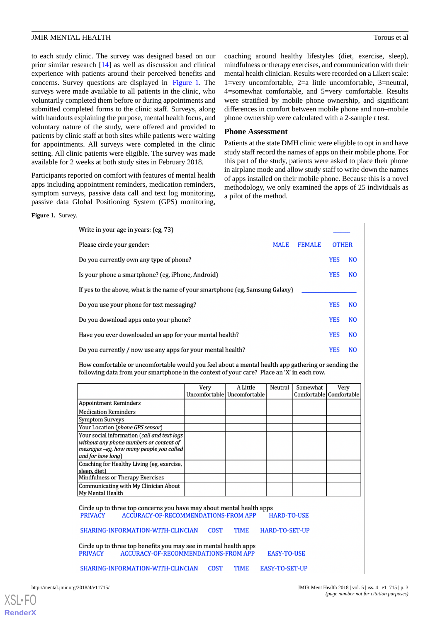to each study clinic. The survey was designed based on our prior similar research [\[14](#page-9-13)] as well as discussion and clinical experience with patients around their perceived benefits and concerns. Survey questions are displayed in [Figure 1](#page-2-0). The surveys were made available to all patients in the clinic, who voluntarily completed them before or during appointments and submitted completed forms to the clinic staff. Surveys, along with handouts explaining the purpose, mental health focus, and voluntary nature of the study, were offered and provided to patients by clinic staff at both sites while patients were waiting for appointments. All surveys were completed in the clinic setting. All clinic patients were eligible. The survey was made available for 2 weeks at both study sites in February 2018.

<span id="page-2-0"></span>Participants reported on comfort with features of mental health apps including appointment reminders, medication reminders, symptom surveys, passive data call and text log monitoring, passive data Global Positioning System (GPS) monitoring, coaching around healthy lifestyles (diet, exercise, sleep), mindfulness or therapy exercises, and communication with their mental health clinician. Results were recorded on a Likert scale: 1=very uncomfortable, 2=a little uncomfortable, 3=neutral, 4=somewhat comfortable, and 5=very comfortable. Results were stratified by mobile phone ownership, and significant differences in comfort between mobile phone and non–mobile phone ownership were calculated with a 2-sample *t* test.

### **Phone Assessment**

Patients at the state DMH clinic were eligible to opt in and have study staff record the names of apps on their mobile phone. For this part of the study, patients were asked to place their phone in airplane mode and allow study staff to write down the names of apps installed on their mobile phone. Because this is a novel methodology, we only examined the apps of 25 individuals as a pilot of the method.

**Figure 1.** Survey.

| Write in your age in years: (eg, 73)                                                                                                                                                             |      |                                           |         |                                     |            |                |
|--------------------------------------------------------------------------------------------------------------------------------------------------------------------------------------------------|------|-------------------------------------------|---------|-------------------------------------|------------|----------------|
| Please circle your gender:<br><b>MALE</b><br><b>FEMALE</b>                                                                                                                                       |      |                                           |         | <b>OTHER</b>                        |            |                |
| Do you currently own any type of phone?                                                                                                                                                          |      |                                           |         |                                     | <b>YES</b> | N <sub>O</sub> |
| Is your phone a smartphone? (eg, iPhone, Android)                                                                                                                                                |      |                                           |         |                                     | YES        | N <sub>O</sub> |
| If yes to the above, what is the name of your smartphone (eg, Samsung Galaxy)                                                                                                                    |      |                                           |         |                                     |            |                |
| Do you use your phone for text messaging?                                                                                                                                                        |      |                                           |         |                                     | <b>YES</b> | N <sub>O</sub> |
| Do you download apps onto your phone?                                                                                                                                                            |      |                                           |         |                                     | <b>YES</b> | N <sub>O</sub> |
| Have you ever downloaded an app for your mental health?                                                                                                                                          |      |                                           |         |                                     | <b>YES</b> | N <sub>O</sub> |
| Do you currently / now use any apps for your mental health?                                                                                                                                      |      |                                           |         |                                     | <b>YES</b> | N <sub>O</sub> |
| How comfortable or uncomfortable would you feel about a mental health app gathering or sending the<br>following data from your smartphone in the context of your care? Place an 'X' in each row. |      |                                           |         |                                     |            |                |
|                                                                                                                                                                                                  | Very | A Little<br>Uncomfortable   Uncomfortable | Neutral | Somewhat<br>Comfortable Comfortable | Very       |                |
| <b>Appointment Reminders</b>                                                                                                                                                                     |      |                                           |         |                                     |            |                |
| <b>Medication Reminders</b>                                                                                                                                                                      |      |                                           |         |                                     |            |                |
| <b>Symptom Surveys</b>                                                                                                                                                                           |      |                                           |         |                                     |            |                |
| Your Location (phone GPS sensor)                                                                                                                                                                 |      |                                           |         |                                     |            |                |
| Your social information (call and text logs                                                                                                                                                      |      |                                           |         |                                     |            |                |
| without any phone numbers or content of                                                                                                                                                          |      |                                           |         |                                     |            |                |
| messages -eg, how many people you called                                                                                                                                                         |      |                                           |         |                                     |            |                |
| and for how long)                                                                                                                                                                                |      |                                           |         |                                     |            |                |
| Coaching for Healthy Living (eg, exercise,                                                                                                                                                       |      |                                           |         |                                     |            |                |
| sleep, diet)                                                                                                                                                                                     |      |                                           |         |                                     |            |                |
| Mindfulness or Therapy Exercises                                                                                                                                                                 |      |                                           |         |                                     |            |                |
| Communicating with My Clinician About                                                                                                                                                            |      |                                           |         |                                     |            |                |
| My Mental Health                                                                                                                                                                                 |      |                                           |         |                                     |            |                |
|                                                                                                                                                                                                  |      |                                           |         |                                     |            |                |
| Circle up to three top concerns you have may about mental health apps                                                                                                                            |      |                                           |         |                                     |            |                |
| <b>PRIVACY</b><br><b>ACCURACY-OF-RECOMMENDATIONS-FROM APP</b><br><b>HARD-TO-USE</b>                                                                                                              |      |                                           |         |                                     |            |                |
| <b>COST</b><br><b>TIME</b><br>SHARING-INFORMATION-WITH-CLINCIAN<br><b>HARD-TO-SET-UP</b>                                                                                                         |      |                                           |         |                                     |            |                |
| Circle up to three top benefits you may see in mental health apps<br><b>PRIVACY</b><br><b>ACCURACY-OF-RECOMMENDATIONS-FROM APP</b><br><b>EASY-TO-USE</b>                                         |      |                                           |         |                                     |            |                |
| SHARING-INFORMATION-WITH-CLINCIAN<br><b>COST</b><br><b>TIME</b><br><b>EASY-TO-SET-UP</b>                                                                                                         |      |                                           |         |                                     |            |                |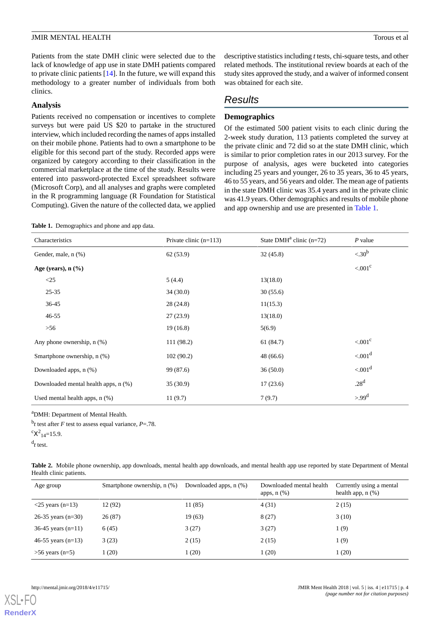Patients from the state DMH clinic were selected due to the lack of knowledge of app use in state DMH patients compared to private clinic patients [\[14](#page-9-13)]. In the future, we will expand this methodology to a greater number of individuals from both clinics.

#### **Analysis**

Patients received no compensation or incentives to complete surveys but were paid US \$20 to partake in the structured interview, which included recording the names of apps installed on their mobile phone. Patients had to own a smartphone to be eligible for this second part of the study. Recorded apps were organized by category according to their classification in the commercial marketplace at the time of the study. Results were entered into password-protected Excel spreadsheet software (Microsoft Corp), and all analyses and graphs were completed in the R programming language (R Foundation for Statistical Computing). Given the nature of the collected data, we applied

<span id="page-3-0"></span>**Table 1.** Demographics and phone and app data.

descriptive statistics including *t*tests, chi-square tests, and other related methods. The institutional review boards at each of the study sites approved the study, and a waiver of informed consent was obtained for each site.

# *Results*

# **Demographics**

Of the estimated 500 patient visits to each clinic during the 2-week study duration, 113 patients completed the survey at the private clinic and 72 did so at the state DMH clinic, which is similar to prior completion rates in our 2013 survey. For the purpose of analysis, ages were bucketed into categories including 25 years and younger, 26 to 35 years, 36 to 45 years, 46 to 55 years, and 56 years and older. The mean age of patients in the state DMH clinic was 35.4 years and in the private clinic was 41.9 years. Other demographics and results of mobile phone and app ownership and use are presented in [Table 1.](#page-3-0)

| Characteristics                      | Private clinic $(n=113)$ | State DMH <sup>a</sup> clinic $(n=72)$ | $P$ value             |
|--------------------------------------|--------------------------|----------------------------------------|-----------------------|
| Gender, male, n (%)                  | 62(53.9)                 | 32(45.8)                               | $\langle .30^\circ$   |
| Age (years), $n$ $(\%)$              |                          |                                        | $< 0.01$ <sup>c</sup> |
| <25                                  | 5(4.4)                   | 13(18.0)                               |                       |
| $25 - 35$                            | 34(30.0)                 | 30(55.6)                               |                       |
| $36 - 45$                            | 28(24.8)                 | 11(15.3)                               |                       |
| $46 - 55$                            | 27(23.9)                 | 13(18.0)                               |                       |
| $>56$                                | 19(16.8)                 | 5(6.9)                                 |                       |
| Any phone ownership, $n$ $(\%)$      | 111 (98.2)               | 61 (84.7)                              | $< 0.01$ <sup>c</sup> |
| Smartphone ownership, n (%)          | 102(90.2)                | 48(66.6)                               | < 0.01 <sup>d</sup>   |
| Downloaded apps, n (%)               | 99 (87.6)                | 36(50.0)                               | < 0.01 <sup>d</sup>   |
| Downloaded mental health apps, n (%) | 35(30.9)                 | 17(23.6)                               | .28 <sup>d</sup>      |
| Used mental health apps, $n$ $%$ )   | 11(9.7)                  | 7(9.7)                                 | $>99^d$               |

<span id="page-3-1"></span><sup>a</sup>DMH: Department of Mental Health.

 $^{b}$ t test after *F* test to assess equal variance, *P*=.78.  ${}^{\rm c}X^2_{14}=15.9.$ 

d *t* test.

| Table 2. Mobile phone ownership, app downloads, mental health app downloads, and mental health app use reported by state Department of Mental |  |  |
|-----------------------------------------------------------------------------------------------------------------------------------------------|--|--|
| Health clinic patients.                                                                                                                       |  |  |

| Age group                         | Smartphone ownership, n (%) | Downloaded apps, n (%) | Downloaded mental health<br>apps, $n$ $(\%)$ | Currently using a mental<br>health app, $n$ $(\%)$ |
|-----------------------------------|-----------------------------|------------------------|----------------------------------------------|----------------------------------------------------|
| $\langle 25 \rangle$ years (n=13) | 12(92)                      | 11 (85)                | 4(31)                                        | 2(15)                                              |
| 26-35 years $(n=30)$              | 26(87)                      | 19(63)                 | 8(27)                                        | 3(10)                                              |
| $36-45$ years (n=11)              | 6(45)                       | 3(27)                  | 3(27)                                        | 1 (9)                                              |
| 46-55 years $(n=13)$              | 3(23)                       | 2(15)                  | 2(15)                                        | 1(9)                                               |
| $>56$ years (n=5)                 | 1(20)                       | (20)                   | 1(20)                                        | 1(20)                                              |

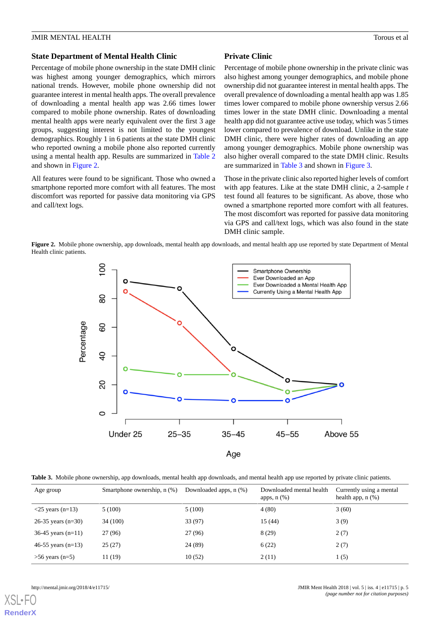### **State Department of Mental Health Clinic**

Percentage of mobile phone ownership in the state DMH clinic was highest among younger demographics, which mirrors national trends. However, mobile phone ownership did not guarantee interest in mental health apps. The overall prevalence of downloading a mental health app was 2.66 times lower compared to mobile phone ownership. Rates of downloading mental health apps were nearly equivalent over the first 3 age groups, suggesting interest is not limited to the youngest demographics. Roughly 1 in 6 patients at the state DMH clinic who reported owning a mobile phone also reported currently using a mental health app. Results are summarized in [Table 2](#page-3-1) and shown in [Figure 2.](#page-4-0)

All features were found to be significant. Those who owned a smartphone reported more comfort with all features. The most discomfort was reported for passive data monitoring via GPS and call/text logs.

## **Private Clinic**

Percentage of mobile phone ownership in the private clinic was also highest among younger demographics, and mobile phone ownership did not guarantee interest in mental health apps. The overall prevalence of downloading a mental health app was 1.85 times lower compared to mobile phone ownership versus 2.66 times lower in the state DMH clinic. Downloading a mental health app did not guarantee active use today, which was 5 times lower compared to prevalence of download. Unlike in the state DMH clinic, there were higher rates of downloading an app among younger demographics. Mobile phone ownership was also higher overall compared to the state DMH clinic. Results are summarized in [Table 3](#page-4-1) and shown in [Figure 3](#page-5-0).

Those in the private clinic also reported higher levels of comfort with app features. Like at the state DMH clinic, a 2-sample *t* test found all features to be significant. As above, those who owned a smartphone reported more comfort with all features. The most discomfort was reported for passive data monitoring via GPS and call/text logs, which was also found in the state DMH clinic sample.

<span id="page-4-0"></span>**Figure 2.** Mobile phone ownership, app downloads, mental health app downloads, and mental health app use reported by state Department of Mental Health clinic patients.



<span id="page-4-1"></span>**Table 3.** Mobile phone ownership, app downloads, mental health app downloads, and mental health app use reported by private clinic patients.

| Age group                         | Smartphone ownership, n (%) | Downloaded apps, $n$ $(\%)$ | Downloaded mental health<br>apps, $n$ $(\%)$ | Currently using a mental<br>health app, $n$ $%$ ) |
|-----------------------------------|-----------------------------|-----------------------------|----------------------------------------------|---------------------------------------------------|
| $\langle 25 \rangle$ years (n=13) | 5(100)                      | 5(100)                      | 4(80)                                        | 3(60)                                             |
| 26-35 years $(n=30)$              | 34 (100)                    | 33 (97)                     | 15(44)                                       | 3(9)                                              |
| 36-45 years $(n=11)$              | 27 (96)                     | 27 (96)                     | 8(29)                                        | 2(7)                                              |
| 46-55 years $(n=13)$              | 25(27)                      | 24 (89)                     | 6(22)                                        | 2(7)                                              |
| $>56$ years (n=5)                 | 11 (19)                     | 10(52)                      | 2(11)                                        | 1(5)                                              |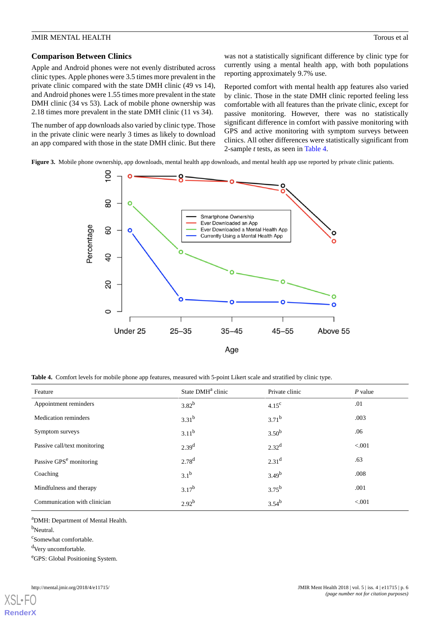#### **Comparison Between Clinics**

Apple and Android phones were not evenly distributed across clinic types. Apple phones were 3.5 times more prevalent in the private clinic compared with the state DMH clinic (49 vs 14), and Android phones were 1.55 times more prevalent in the state DMH clinic (34 vs 53). Lack of mobile phone ownership was 2.18 times more prevalent in the state DMH clinic (11 vs 34).

The number of app downloads also varied by clinic type. Those in the private clinic were nearly 3 times as likely to download an app compared with those in the state DMH clinic. But there was not a statistically significant difference by clinic type for currently using a mental health app, with both populations reporting approximately 9.7% use.

Reported comfort with mental health app features also varied by clinic. Those in the state DMH clinic reported feeling less comfortable with all features than the private clinic, except for passive monitoring. However, there was no statistically significant difference in comfort with passive monitoring with GPS and active monitoring with symptom surveys between clinics. All other differences were statistically significant from 2-sample *t* tests, as seen in [Table 4.](#page-5-1)

<span id="page-5-0"></span>Figure 3. Mobile phone ownership, app downloads, mental health app downloads, and mental health app use reported by private clinic patients.



<span id="page-5-1"></span>**Table 4.** Comfort levels for mobile phone app features, measured with 5-point Likert scale and stratified by clinic type.

| Feature                             | State DMH <sup>a</sup> clinic | Private clinic    | $P$ value |
|-------------------------------------|-------------------------------|-------------------|-----------|
| Appointment reminders               | $3.82^{b}$                    | 4.15 <sup>c</sup> | .01       |
| <b>Medication reminders</b>         | $3.31^{b}$                    | $3.71^{b}$        | .003      |
| Symptom surveys                     | $3.11^{b}$                    | 3.50 <sup>b</sup> | .06       |
| Passive call/text monitoring        | 2.39 <sup>d</sup>             | $2.32^{d}$        | < 0.001   |
| Passive GPS <sup>e</sup> monitoring | 2.78 <sup>d</sup>             | 2.31 <sup>d</sup> | .63       |
| Coaching                            | 3.1 <sup>b</sup>              | $3.49^{b}$        | .008      |
| Mindfulness and therapy             | $3.17^{b}$                    | $3.75^{b}$        | .001      |
| Communication with clinician        | $2.92^{b}$                    | $3.54^{b}$        | < 0.001   |

<sup>a</sup>DMH: Department of Mental Health.

b<sub>Neutral.</sub>

c Somewhat comfortable.

<sup>d</sup>Very uncomfortable.

<sup>e</sup>GPS: Global Positioning System.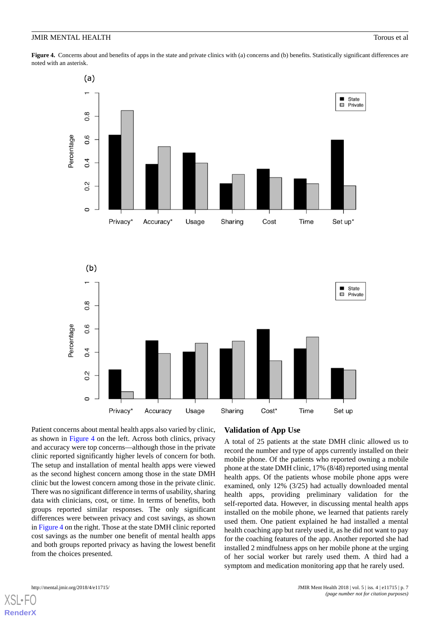<span id="page-6-0"></span>**Figure 4.** Concerns about and benefits of apps in the state and private clinics with (a) concerns and (b) benefits. Statistically significant differences are noted with an asterisk.



Patient concerns about mental health apps also varied by clinic, as shown in [Figure 4](#page-6-0) on the left. Across both clinics, privacy and accuracy were top concerns—although those in the private clinic reported significantly higher levels of concern for both. The setup and installation of mental health apps were viewed as the second highest concern among those in the state DMH clinic but the lowest concern among those in the private clinic. There was no significant difference in terms of usability, sharing data with clinicians, cost, or time. In terms of benefits, both groups reported similar responses. The only significant differences were between privacy and cost savings, as shown in [Figure 4](#page-6-0) on the right. Those at the state DMH clinic reported cost savings as the number one benefit of mental health apps and both groups reported privacy as having the lowest benefit from the choices presented.

# **Validation of App Use**

A total of 25 patients at the state DMH clinic allowed us to record the number and type of apps currently installed on their mobile phone. Of the patients who reported owning a mobile phone at the state DMH clinic, 17% (8/48) reported using mental health apps. Of the patients whose mobile phone apps were examined, only 12% (3/25) had actually downloaded mental health apps, providing preliminary validation for the self-reported data. However, in discussing mental health apps installed on the mobile phone, we learned that patients rarely used them. One patient explained he had installed a mental health coaching app but rarely used it, as he did not want to pay for the coaching features of the app. Another reported she had installed 2 mindfulness apps on her mobile phone at the urging of her social worker but rarely used them. A third had a symptom and medication monitoring app that he rarely used.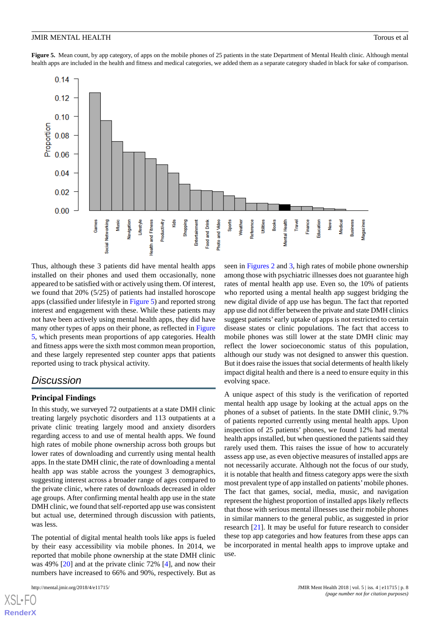<span id="page-7-0"></span>**Figure 5.** Mean count, by app category, of apps on the mobile phones of 25 patients in the state Department of Mental Health clinic. Although mental health apps are included in the health and fitness and medical categories, we added them as a separate category shaded in black for sake of comparison.



Thus, although these 3 patients did have mental health apps installed on their phones and used them occasionally, none appeared to be satisfied with or actively using them. Of interest, we found that 20% (5/25) of patients had installed horoscope apps (classified under lifestyle in [Figure 5\)](#page-7-0) and reported strong interest and engagement with these. While these patients may not have been actively using mental health apps, they did have many other types of apps on their phone, as reflected in [Figure](#page-7-0) [5,](#page-7-0) which presents mean proportions of app categories. Health and fitness apps were the sixth most common mean proportion, and these largely represented step counter apps that patients reported using to track physical activity.

# *Discussion*

# **Principal Findings**

In this study, we surveyed 72 outpatients at a state DMH clinic treating largely psychotic disorders and 113 outpatients at a private clinic treating largely mood and anxiety disorders regarding access to and use of mental health apps. We found high rates of mobile phone ownership across both groups but lower rates of downloading and currently using mental health apps. In the state DMH clinic, the rate of downloading a mental health app was stable across the youngest 3 demographics, suggesting interest across a broader range of ages compared to the private clinic, where rates of downloads decreased in older age groups. After confirming mental health app use in the state DMH clinic, we found that self-reported app use was consistent but actual use, determined through discussion with patients, was less.

The potential of digital mental health tools like apps is fueled by their easy accessibility via mobile phones. In 2014, we reported that mobile phone ownership at the state DMH clinic was 49% [\[20](#page-10-1)] and at the private clinic 72% [[4\]](#page-9-3), and now their numbers have increased to 66% and 90%, respectively. But as

seen in [Figures 2](#page-4-0) and [3](#page-5-0), high rates of mobile phone ownership among those with psychiatric illnesses does not guarantee high rates of mental health app use. Even so, the 10% of patients who reported using a mental health app suggest bridging the new digital divide of app use has begun. The fact that reported app use did not differ between the private and state DMH clinics suggest patients' early uptake of apps is not restricted to certain disease states or clinic populations. The fact that access to mobile phones was still lower at the state DMH clinic may reflect the lower socioeconomic status of this population, although our study was not designed to answer this question. But it does raise the issues that social determents of health likely impact digital health and there is a need to ensure equity in this evolving space.

A unique aspect of this study is the verification of reported mental health app usage by looking at the actual apps on the phones of a subset of patients. In the state DMH clinic, 9.7% of patients reported currently using mental health apps. Upon inspection of 25 patients' phones, we found 12% had mental health apps installed, but when questioned the patients said they rarely used them. This raises the issue of how to accurately assess app use, as even objective measures of installed apps are not necessarily accurate. Although not the focus of our study, it is notable that health and fitness category apps were the sixth most prevalent type of app installed on patients'mobile phones. The fact that games, social, media, music, and navigation represent the highest proportion of installed apps likely reflects that those with serious mental illnesses use their mobile phones in similar manners to the general public, as suggested in prior research [\[21](#page-10-2)]. It may be useful for future research to consider these top app categories and how features from these apps can be incorporated in mental health apps to improve uptake and use.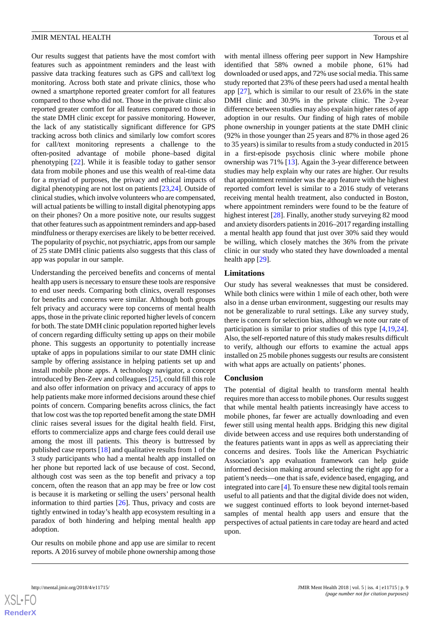Our results suggest that patients have the most comfort with features such as appointment reminders and the least with passive data tracking features such as GPS and call/text log monitoring. Across both state and private clinics, those who owned a smartphone reported greater comfort for all features compared to those who did not. Those in the private clinic also reported greater comfort for all features compared to those in the state DMH clinic except for passive monitoring. However, the lack of any statistically significant difference for GPS tracking across both clinics and similarly low comfort scores for call/text monitoring represents a challenge to the often-posited advantage of mobile phone–based digital phenotyping [\[22](#page-10-3)]. While it is feasible today to gather sensor data from mobile phones and use this wealth of real-time data for a myriad of purposes, the privacy and ethical impacts of digital phenotyping are not lost on patients [\[23](#page-10-4),[24\]](#page-10-5). Outside of clinical studies, which involve volunteers who are compensated, will actual patients be willing to install digital phenotyping apps on their phones? On a more positive note, our results suggest that other features such as appointment reminders and app-based mindfulness or therapy exercises are likely to be better received. The popularity of psychic, not psychiatric, apps from our sample of 25 state DMH clinic patients also suggests that this class of app was popular in our sample.

Understanding the perceived benefits and concerns of mental health app users is necessary to ensure these tools are responsive to end user needs. Comparing both clinics, overall responses for benefits and concerns were similar. Although both groups felt privacy and accuracy were top concerns of mental health apps, those in the private clinic reported higher levels of concern for both. The state DMH clinic population reported higher levels of concern regarding difficulty setting up apps on their mobile phone. This suggests an opportunity to potentially increase uptake of apps in populations similar to our state DMH clinic sample by offering assistance in helping patients set up and install mobile phone apps. A technology navigator, a concept introduced by Ben-Zeev and colleagues [\[25](#page-10-6)], could fill this role and also offer information on privacy and accuracy of apps to help patients make more informed decisions around these chief points of concern. Comparing benefits across clinics, the fact that low cost was the top reported benefit among the state DMH clinic raises several issues for the digital health field. First, efforts to commercialize apps and charge fees could derail use among the most ill patients. This theory is buttressed by published case reports [\[18](#page-9-17)] and qualitative results from 1 of the 3 study participants who had a mental health app installed on her phone but reported lack of use because of cost. Second, although cost was seen as the top benefit and privacy a top concern, often the reason that an app may be free or low cost is because it is marketing or selling the users' personal health information to third parties  $[26]$  $[26]$ . Thus, privacy and costs are tightly entwined in today's health app ecosystem resulting in a paradox of both hindering and helping mental health app adoption.

Our results on mobile phone and app use are similar to recent reports. A 2016 survey of mobile phone ownership among those

with mental illness offering peer support in New Hampshire identified that 58% owned a mobile phone, 61% had downloaded or used apps, and 72% use social media. This same study reported that 23% of these peers had used a mental health app [[27\]](#page-10-8), which is similar to our result of 23.6% in the state DMH clinic and 30.9% in the private clinic. The 2-year difference between studies may also explain higher rates of app adoption in our results. Our finding of high rates of mobile phone ownership in younger patients at the state DMH clinic (92% in those younger than 25 years and 87% in those aged 26 to 35 years) is similar to results from a study conducted in 2015 in a first-episode psychosis clinic where mobile phone ownership was 71% [\[13](#page-9-12)]. Again the 3-year difference between studies may help explain why our rates are higher. Our results that appointment reminder was the app feature with the highest reported comfort level is similar to a 2016 study of veterans receiving mental health treatment, also conducted in Boston, where appointment reminders were found to be the feature of highest interest [[28\]](#page-10-9). Finally, another study surveying 82 mood and anxiety disorders patients in 2016–2017 regarding installing a mental health app found that just over 30% said they would be willing, which closely matches the 36% from the private clinic in our study who stated they have downloaded a mental health app [[29\]](#page-10-10).

# **Limitations**

Our study has several weaknesses that must be considered. While both clinics were within 1 mile of each other, both were also in a dense urban environment, suggesting our results may not be generalizable to rural settings. Like any survey study, there is concern for selection bias, although we note our rate of participation is similar to prior studies of this type [[4](#page-9-3)[,19](#page-10-0),[24\]](#page-10-5). Also, the self-reported nature of this study makes results difficult to verify, although our efforts to examine the actual apps installed on 25 mobile phones suggests our results are consistent with what apps are actually on patients' phones.

#### **Conclusion**

The potential of digital health to transform mental health requires more than access to mobile phones. Our results suggest that while mental health patients increasingly have access to mobile phones, far fewer are actually downloading and even fewer still using mental health apps. Bridging this new digital divide between access and use requires both understanding of the features patients want in apps as well as appreciating their concerns and desires. Tools like the American Psychiatric Association's app evaluation framework can help guide informed decision making around selecting the right app for a patient's needs—one that is safe, evidence based, engaging, and integrated into care [[4\]](#page-9-3). To ensure these new digital tools remain useful to all patients and that the digital divide does not widen, we suggest continued efforts to look beyond internet-based samples of mental health app users and ensure that the perspectives of actual patients in care today are heard and acted upon.

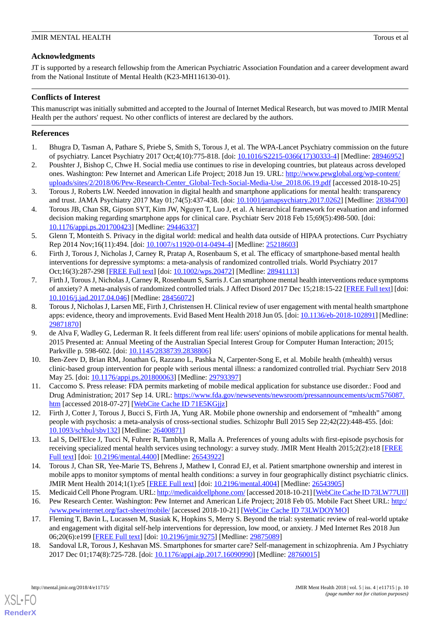# **Acknowledgments**

JT is supported by a research fellowship from the American Psychiatric Association Foundation and a career development award from the National Institute of Mental Health (K23-MH116130-01).

# **Conflicts of Interest**

This manuscript was initially submitted and accepted to the Journal of Internet Medical Research, but was moved to JMIR Mental Health per the authors' request. No other conflicts of interest are declared by the authors.

# <span id="page-9-0"></span>**References**

- <span id="page-9-1"></span>1. Bhugra D, Tasman A, Pathare S, Priebe S, Smith S, Torous J, et al. The WPA-Lancet Psychiatry commission on the future of psychiatry. Lancet Psychiatry 2017 Oct;4(10):775-818. [doi: [10.1016/S2215-0366\(17\)30333-4\]](http://dx.doi.org/10.1016/S2215-0366(17)30333-4) [Medline: [28946952\]](http://www.ncbi.nlm.nih.gov/entrez/query.fcgi?cmd=Retrieve&db=PubMed&list_uids=28946952&dopt=Abstract)
- <span id="page-9-2"></span>2. Poushter J, Bishop C, Chwe H. Social media use continues to rise in developing countries, but plateaus across developed ones. Washington: Pew Internet and American Life Project; 2018 Jun 19. URL: [http://www.pewglobal.org/wp-content/](http://www.pewglobal.org/wp-content/uploads/sites/2/2018/06/Pew-Research-Center_Global-Tech-Social-Media-Use_2018.06.19.pdf) [uploads/sites/2/2018/06/Pew-Research-Center\\_Global-Tech-Social-Media-Use\\_2018.06.19.pdf](http://www.pewglobal.org/wp-content/uploads/sites/2/2018/06/Pew-Research-Center_Global-Tech-Social-Media-Use_2018.06.19.pdf) [accessed 2018-10-25]
- <span id="page-9-3"></span>3. Torous J, Roberts LW. Needed innovation in digital health and smartphone applications for mental health: transparency and trust. JAMA Psychiatry 2017 May 01;74(5):437-438. [doi: [10.1001/jamapsychiatry.2017.0262](http://dx.doi.org/10.1001/jamapsychiatry.2017.0262)] [Medline: [28384700\]](http://www.ncbi.nlm.nih.gov/entrez/query.fcgi?cmd=Retrieve&db=PubMed&list_uids=28384700&dopt=Abstract)
- <span id="page-9-4"></span>4. Torous JB, Chan SR, Gipson SYT, Kim JW, Nguyen T, Luo J, et al. A hierarchical framework for evaluation and informed decision making regarding smartphone apps for clinical care. Psychiatr Serv 2018 Feb 15;69(5):498-500. [doi: [10.1176/appi.ps.201700423\]](http://dx.doi.org/10.1176/appi.ps.201700423) [Medline: [29446337\]](http://www.ncbi.nlm.nih.gov/entrez/query.fcgi?cmd=Retrieve&db=PubMed&list_uids=29446337&dopt=Abstract)
- <span id="page-9-5"></span>5. Glenn T, Monteith S. Privacy in the digital world: medical and health data outside of HIPAA protections. Curr Psychiatry Rep 2014 Nov;16(11):494. [doi: [10.1007/s11920-014-0494-4](http://dx.doi.org/10.1007/s11920-014-0494-4)] [Medline: [25218603](http://www.ncbi.nlm.nih.gov/entrez/query.fcgi?cmd=Retrieve&db=PubMed&list_uids=25218603&dopt=Abstract)]
- <span id="page-9-6"></span>6. Firth J, Torous J, Nicholas J, Carney R, Pratap A, Rosenbaum S, et al. The efficacy of smartphone-based mental health interventions for depressive symptoms: a meta-analysis of randomized controlled trials. World Psychiatry 2017 Oct;16(3):287-298 [\[FREE Full text\]](https://doi.org/10.1002/wps.20472) [doi: [10.1002/wps.20472\]](http://dx.doi.org/10.1002/wps.20472) [Medline: [28941113\]](http://www.ncbi.nlm.nih.gov/entrez/query.fcgi?cmd=Retrieve&db=PubMed&list_uids=28941113&dopt=Abstract)
- <span id="page-9-7"></span>7. Firth J, Torous J, Nicholas J, Carney R, Rosenbaum S, Sarris J. Can smartphone mental health interventions reduce symptoms of anxiety? A meta-analysis of randomized controlled trials. J Affect Disord 2017 Dec 15;218:15-22 [[FREE Full text](https://linkinghub.elsevier.com/retrieve/pii/S0165-0327(17)30015-0)] [doi: [10.1016/j.jad.2017.04.046\]](http://dx.doi.org/10.1016/j.jad.2017.04.046) [Medline: [28456072\]](http://www.ncbi.nlm.nih.gov/entrez/query.fcgi?cmd=Retrieve&db=PubMed&list_uids=28456072&dopt=Abstract)
- <span id="page-9-8"></span>8. Torous J, Nicholas J, Larsen ME, Firth J, Christensen H. Clinical review of user engagement with mental health smartphone apps: evidence, theory and improvements. Evid Based Ment Health 2018 Jun 05. [doi: [10.1136/eb-2018-102891](http://dx.doi.org/10.1136/eb-2018-102891)] [Medline: [29871870](http://www.ncbi.nlm.nih.gov/entrez/query.fcgi?cmd=Retrieve&db=PubMed&list_uids=29871870&dopt=Abstract)]
- <span id="page-9-9"></span>9. de Alva F, Wadley G, Lederman R. It feels different from real life: users' opinions of mobile applications for mental health. 2015 Presented at: Annual Meeting of the Australian Special Interest Group for Computer Human Interaction; 2015; Parkville p. 598-602. [doi: [10.1145/2838739.2838806](http://dx.doi.org/10.1145/2838739.2838806)]
- <span id="page-9-11"></span><span id="page-9-10"></span>10. Ben-Zeev D, Brian RM, Jonathan G, Razzano L, Pashka N, Carpenter-Song E, et al. Mobile health (mhealth) versus clinic-based group intervention for people with serious mental illness: a randomized controlled trial. Psychiatr Serv 2018 May 25. [doi: [10.1176/appi.ps.201800063](http://dx.doi.org/10.1176/appi.ps.201800063)] [Medline: [29793397\]](http://www.ncbi.nlm.nih.gov/entrez/query.fcgi?cmd=Retrieve&db=PubMed&list_uids=29793397&dopt=Abstract)
- <span id="page-9-12"></span>11. Caccomo S. Press release: FDA permits marketing of mobile medical application for substance use disorder.: Food and Drug Administration; 2017 Sep 14. URL: [https://www.fda.gov/newsevents/newsroom/pressannouncements/ucm576087.](https://www.fda.gov/newsevents/newsroom/pressannouncements/ucm576087.htm) [htm](https://www.fda.gov/newsevents/newsroom/pressannouncements/ucm576087.htm) [accessed 2018-07-27] [\[WebCite Cache ID 71E5KGjjz](http://www.webcitation.org/

                                71E5KGjjz)]
- <span id="page-9-13"></span>12. Firth J, Cotter J, Torous J, Bucci S, Firth JA, Yung AR. Mobile phone ownership and endorsement of "mhealth" among people with psychosis: a meta-analysis of cross-sectional studies. Schizophr Bull 2015 Sep 22;42(22):448-455. [doi: [10.1093/schbul/sbv132](http://dx.doi.org/10.1093/schbul/sbv132)] [Medline: [26400871](http://www.ncbi.nlm.nih.gov/entrez/query.fcgi?cmd=Retrieve&db=PubMed&list_uids=26400871&dopt=Abstract)]
- <span id="page-9-15"></span><span id="page-9-14"></span>13. Lal S, Dell'Elce J, Tucci N, Fuhrer R, Tamblyn R, Malla A. Preferences of young adults with first-episode psychosis for receiving specialized mental health services using technology: a survey study. JMIR Ment Health 2015;2(2):e18 [\[FREE](http://mental.jmir.org/2015/2/e18/) [Full text\]](http://mental.jmir.org/2015/2/e18/) [doi: [10.2196/mental.4400](http://dx.doi.org/10.2196/mental.4400)] [Medline: [26543922\]](http://www.ncbi.nlm.nih.gov/entrez/query.fcgi?cmd=Retrieve&db=PubMed&list_uids=26543922&dopt=Abstract)
- <span id="page-9-16"></span>14. Torous J, Chan SR, Yee-Marie TS, Behrens J, Mathew I, Conrad EJ, et al. Patient smartphone ownership and interest in mobile apps to monitor symptoms of mental health conditions: a survey in four geographically distinct psychiatric clinics. JMIR Ment Health 2014;1(1):e5 [\[FREE Full text](http://mental.jmir.org/2014/1/e5/)] [doi: [10.2196/mental.4004\]](http://dx.doi.org/10.2196/mental.4004) [Medline: [26543905](http://www.ncbi.nlm.nih.gov/entrez/query.fcgi?cmd=Retrieve&db=PubMed&list_uids=26543905&dopt=Abstract)]
- <span id="page-9-17"></span>15. Medicaid Cell Phone Program. URL:<http://medicaidcellphone.com/> [accessed 2018-10-21] [\[WebCite Cache ID 73LW77UIl](http://www.webcitation.org/

                                73LW77UIl)]
- 16. Pew Research Center. Washington: Pew Internet and American Life Project; 2018 Feb 05. Mobile Fact Sheet URL: [http:/](http://www.pewinternet.org/fact-sheet/mobile/) [/www.pewinternet.org/fact-sheet/mobile/](http://www.pewinternet.org/fact-sheet/mobile/) [accessed 2018-10-21] [\[WebCite Cache ID 73LWDOYMO](http://www.webcitation.org/

                                73LWDOYMO)]
- 17. Fleming T, Bavin L, Lucassen M, Stasiak K, Hopkins S, Merry S. Beyond the trial: systematic review of real-world uptake and engagement with digital self-help interventions for depression, low mood, or anxiety. J Med Internet Res 2018 Jun 06;20(6):e199 [\[FREE Full text](http://www.jmir.org/2018/6/e199/)] [doi: [10.2196/jmir.9275](http://dx.doi.org/10.2196/jmir.9275)] [Medline: [29875089](http://www.ncbi.nlm.nih.gov/entrez/query.fcgi?cmd=Retrieve&db=PubMed&list_uids=29875089&dopt=Abstract)]
- 18. Sandoval LR, Torous J, Keshavan MS. Smartphones for smarter care? Self-management in schizophrenia. Am J Psychiatry 2017 Dec 01;174(8):725-728. [doi: [10.1176/appi.ajp.2017.16090990\]](http://dx.doi.org/10.1176/appi.ajp.2017.16090990) [Medline: [28760015\]](http://www.ncbi.nlm.nih.gov/entrez/query.fcgi?cmd=Retrieve&db=PubMed&list_uids=28760015&dopt=Abstract)